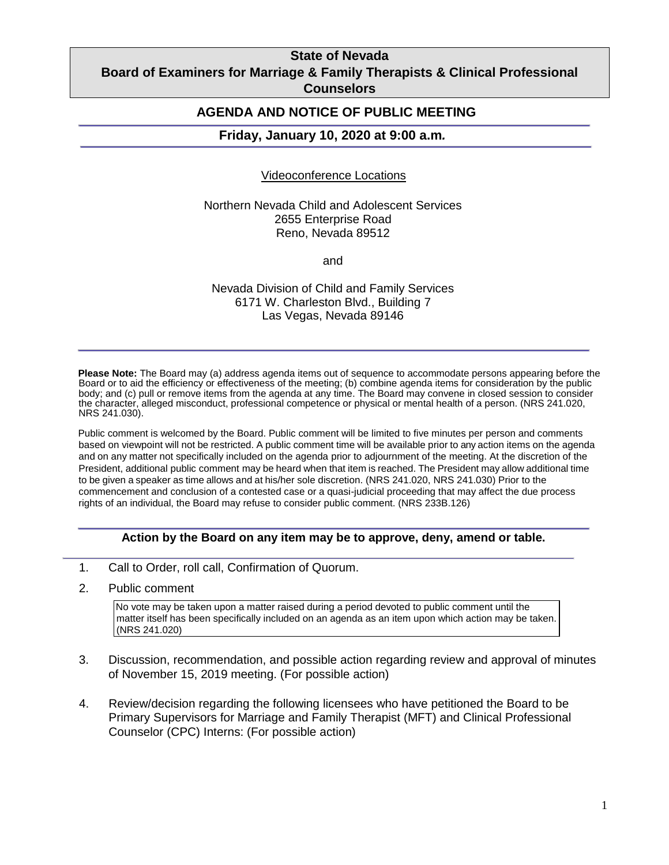## **State of Nevada Board of Examiners for Marriage & Family Therapists & Clinical Professional Counselors**

## **AGENDA AND NOTICE OF PUBLIC MEETING**

#### **Friday, January 10, 2020 at 9:00 a.m***.*

#### Videoconference Locations

Northern Nevada Child and Adolescent Services 2655 Enterprise Road Reno, Nevada 89512

and

Nevada Division of Child and Family Services 6171 W. Charleston Blvd., Building 7 Las Vegas, Nevada 89146

**Please Note:** The Board may (a) address agenda items out of sequence to accommodate persons appearing before the Board or to aid the efficiency or effectiveness of the meeting; (b) combine agenda items for consideration by the public body; and (c) pull or remove items from the agenda at any time. The Board may convene in closed session to consider the character, alleged misconduct, professional competence or physical or mental health of a person. (NRS 241.020, NRS 241.030).

Public comment is welcomed by the Board. Public comment will be limited to five minutes per person and comments based on viewpoint will not be restricted. A public comment time will be available prior to any action items on the agenda and on any matter not specifically included on the agenda prior to adjournment of the meeting. At the discretion of the President, additional public comment may be heard when that item is reached. The President may allow additional time to be given a speaker as time allows and at his/her sole discretion. (NRS 241.020, NRS 241.030) Prior to the commencement and conclusion of a contested case or a quasi-judicial proceeding that may affect the due process rights of an individual, the Board may refuse to consider public comment. (NRS 233B.126)

### **Action by the Board on any item may be to approve, deny, amend or table.**

- 1. Call to Order, roll call, Confirmation of Quorum.
- 2. Public comment

No vote may be taken upon a matter raised during a period devoted to public comment until the matter itself has been specifically included on an agenda as an item upon which action may be taken. (NRS 241.020)

- 3. Discussion, recommendation, and possible action regarding review and approval of minutes of November 15, 2019 meeting. (For possible action)
- 4. Review/decision regarding the following licensees who have petitioned the Board to be Primary Supervisors for Marriage and Family Therapist (MFT) and Clinical Professional Counselor (CPC) Interns: (For possible action)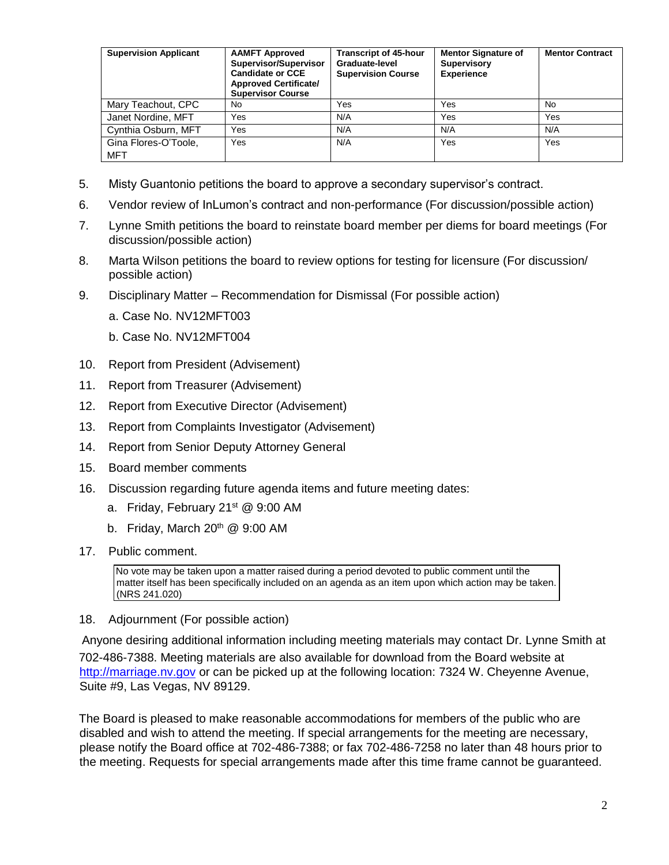| <b>Supervision Applicant</b> | <b>AAMFT Approved</b><br>Supervisor/Supervisor<br><b>Candidate or CCE</b><br><b>Approved Certificate/</b><br><b>Supervisor Course</b> | <b>Transcript of 45-hour</b><br>Graduate-level<br><b>Supervision Course</b> | <b>Mentor Signature of</b><br><b>Supervisory</b><br><b>Experience</b> | <b>Mentor Contract</b> |
|------------------------------|---------------------------------------------------------------------------------------------------------------------------------------|-----------------------------------------------------------------------------|-----------------------------------------------------------------------|------------------------|
| Mary Teachout, CPC           | No                                                                                                                                    | Yes                                                                         | Yes                                                                   | No.                    |
| Janet Nordine, MFT           | Yes                                                                                                                                   | N/A                                                                         | Yes                                                                   | Yes                    |
| Cynthia Osburn, MFT          | Yes                                                                                                                                   | N/A                                                                         | N/A                                                                   | N/A                    |
| Gina Flores-O'Toole,<br>MFT  | Yes                                                                                                                                   | N/A                                                                         | Yes                                                                   | Yes                    |

- 5. Misty Guantonio petitions the board to approve a secondary supervisor's contract.
- 6. Vendor review of InLumon's contract and non-performance (For discussion/possible action)
- 7. Lynne Smith petitions the board to reinstate board member per diems for board meetings (For discussion/possible action)
- 8. Marta Wilson petitions the board to review options for testing for licensure (For discussion/ possible action)
- 9. Disciplinary Matter Recommendation for Dismissal (For possible action)
	- a. Case No. NV12MFT003
	- b. Case No. NV12MFT004
- 10. Report from President (Advisement)
- 11. Report from Treasurer (Advisement)
- 12. Report from Executive Director (Advisement)
- 13. Report from Complaints Investigator (Advisement)
- 14. Report from Senior Deputy Attorney General
- 15. Board member comments
- 16. Discussion regarding future agenda items and future meeting dates:
	- a. Friday, February 21<sup>st</sup> @ 9:00 AM
	- b. Friday, March  $20<sup>th</sup>$  @ 9:00 AM
- 17. Public comment.

No vote may be taken upon a matter raised during a period devoted to public comment until the matter itself has been specifically included on an agenda as an item upon which action may be taken. (NRS 241.020)

18. Adjournment (For possible action)

Anyone desiring additional information including meeting materials may contact Dr. Lynne Smith at 702-486-7388. Meeting materials are also available for download from the Board website at [http://marriage.nv.gov](http://marriage.nv.gov/) or can be picked up at the following location: 7324 W. Cheyenne Avenue, Suite #9, Las Vegas, NV 89129.

The Board is pleased to make reasonable accommodations for members of the public who are disabled and wish to attend the meeting. If special arrangements for the meeting are necessary, please notify the Board office at 702-486-7388; or fax 702-486-7258 no later than 48 hours prior to the meeting. Requests for special arrangements made after this time frame cannot be guaranteed.